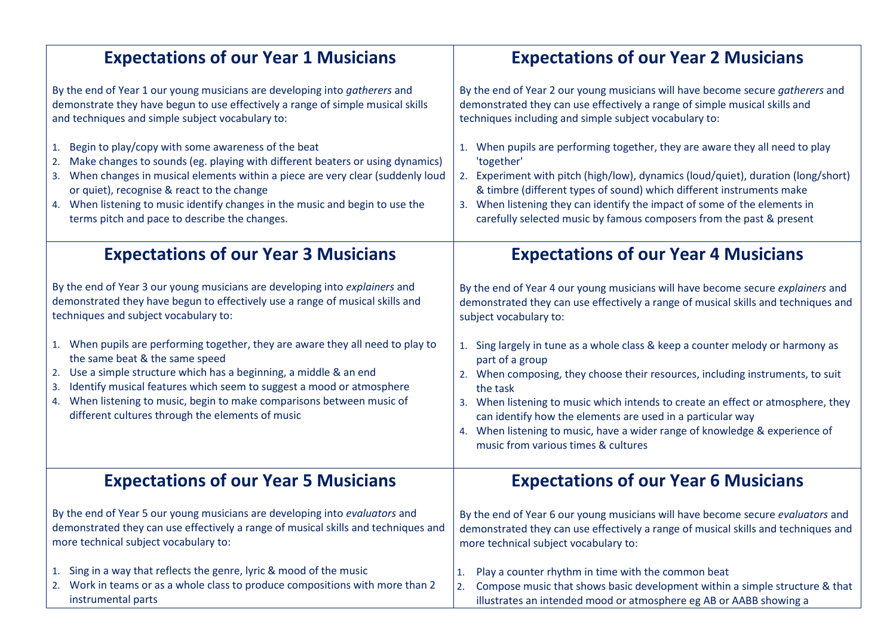| <b>Expectations of our Year 1 Musicians</b>                                                                                                                                                                                                                                                                                                                                                                                                                                                                                                                                                                  | <b>Expectations of our Year 2 Musicians</b>                                                                                                                                                                                                                                                                                                                                                                                                                                                                                                                                                                                                                                |
|--------------------------------------------------------------------------------------------------------------------------------------------------------------------------------------------------------------------------------------------------------------------------------------------------------------------------------------------------------------------------------------------------------------------------------------------------------------------------------------------------------------------------------------------------------------------------------------------------------------|----------------------------------------------------------------------------------------------------------------------------------------------------------------------------------------------------------------------------------------------------------------------------------------------------------------------------------------------------------------------------------------------------------------------------------------------------------------------------------------------------------------------------------------------------------------------------------------------------------------------------------------------------------------------------|
| By the end of Year 1 our young musicians are developing into gatherers and<br>demonstrate they have begun to use effectively a range of simple musical skills<br>and techniques and simple subject vocabulary to:                                                                                                                                                                                                                                                                                                                                                                                            | By the end of Year 2 our young musicians will have become secure gatherers and<br>demonstrated they can use effectively a range of simple musical skills and<br>techniques including and simple subject vocabulary to:                                                                                                                                                                                                                                                                                                                                                                                                                                                     |
| 1. Begin to play/copy with some awareness of the beat<br>Make changes to sounds (eg. playing with different beaters or using dynamics)<br>2.<br>3. When changes in musical elements within a piece are very clear (suddenly loud<br>or quiet), recognise & react to the change<br>4. When listening to music identify changes in the music and begin to use the<br>terms pitch and pace to describe the changes.                                                                                                                                                                                             | 1. When pupils are performing together, they are aware they all need to play<br>'together'<br>Experiment with pitch (high/low), dynamics (loud/quiet), duration (long/short)<br>2.<br>& timbre (different types of sound) which different instruments make<br>3. When listening they can identify the impact of some of the elements in<br>carefully selected music by famous composers from the past & present                                                                                                                                                                                                                                                            |
| <b>Expectations of our Year 3 Musicians</b>                                                                                                                                                                                                                                                                                                                                                                                                                                                                                                                                                                  | <b>Expectations of our Year 4 Musicians</b>                                                                                                                                                                                                                                                                                                                                                                                                                                                                                                                                                                                                                                |
| By the end of Year 3 our young musicians are developing into explainers and<br>demonstrated they have begun to effectively use a range of musical skills and<br>techniques and subject vocabulary to:<br>1. When pupils are performing together, they are aware they all need to play to<br>the same beat & the same speed<br>2. Use a simple structure which has a beginning, a middle & an end<br>Identify musical features which seem to suggest a mood or atmosphere<br>3.<br>4. When listening to music, begin to make comparisons between music of<br>different cultures through the elements of music | By the end of Year 4 our young musicians will have become secure explainers and<br>demonstrated they can use effectively a range of musical skills and techniques and<br>subject vocabulary to:<br>1. Sing largely in tune as a whole class & keep a counter melody or harmony as<br>part of a group<br>2. When composing, they choose their resources, including instruments, to suit<br>the task<br>3. When listening to music which intends to create an effect or atmosphere, they<br>can identify how the elements are used in a particular way<br>4. When listening to music, have a wider range of knowledge & experience of<br>music from various times & cultures |
| <b>Expectations of our Year 5 Musicians</b>                                                                                                                                                                                                                                                                                                                                                                                                                                                                                                                                                                  | <b>Expectations of our Year 6 Musicians</b>                                                                                                                                                                                                                                                                                                                                                                                                                                                                                                                                                                                                                                |
| By the end of Year 5 our young musicians are developing into evaluators and<br>demonstrated they can use effectively a range of musical skills and techniques and<br>more technical subject vocabulary to:                                                                                                                                                                                                                                                                                                                                                                                                   | By the end of Year 6 our young musicians will have become secure evaluators and<br>demonstrated they can use effectively a range of musical skills and techniques and<br>more technical subject vocabulary to:                                                                                                                                                                                                                                                                                                                                                                                                                                                             |
| 1. Sing in a way that reflects the genre, lyric & mood of the music<br>2. Work in teams or as a whole class to produce compositions with more than 2<br>instrumental parts                                                                                                                                                                                                                                                                                                                                                                                                                                   | Play a counter rhythm in time with the common beat<br>1.<br>Compose music that shows basic development within a simple structure & that<br>2.<br>illustrates an intended mood or atmosphere eg AB or AABB showing a                                                                                                                                                                                                                                                                                                                                                                                                                                                        |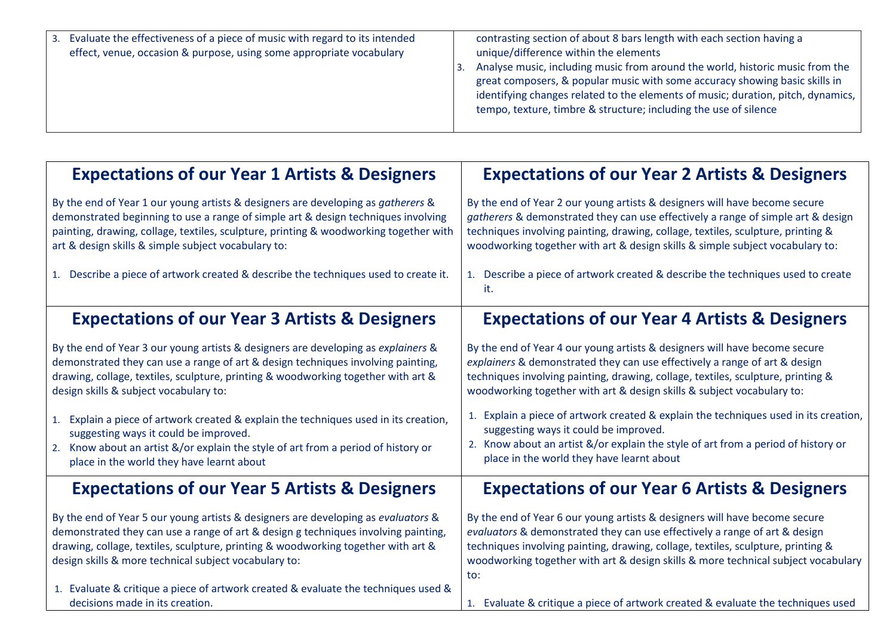| Evaluate the effectiveness of a piece of music with regard to its intended<br>3. | contrasting section of about 8 bars length with each section having a                                                                                                                                                                                                                                                |
|----------------------------------------------------------------------------------|----------------------------------------------------------------------------------------------------------------------------------------------------------------------------------------------------------------------------------------------------------------------------------------------------------------------|
| effect, venue, occasion & purpose, using some appropriate vocabulary             | unique/difference within the elements                                                                                                                                                                                                                                                                                |
|                                                                                  | Analyse music, including music from around the world, historic music from the<br>great composers, & popular music with some accuracy showing basic skills in<br>identifying changes related to the elements of music; duration, pitch, dynamics,<br>tempo, texture, timbre & structure; including the use of silence |

| <b>Expectations of our Year 1 Artists &amp; Designers</b>                                                                                                                                                                                                                                                                    | <b>Expectations of our Year 2 Artists &amp; Designers</b>                                                                                                                                                                                                                                                                                  |
|------------------------------------------------------------------------------------------------------------------------------------------------------------------------------------------------------------------------------------------------------------------------------------------------------------------------------|--------------------------------------------------------------------------------------------------------------------------------------------------------------------------------------------------------------------------------------------------------------------------------------------------------------------------------------------|
| By the end of Year 1 our young artists & designers are developing as <i>gatherers</i> &<br>demonstrated beginning to use a range of simple art & design techniques involving<br>painting, drawing, collage, textiles, sculpture, printing & woodworking together with<br>art & design skills & simple subject vocabulary to: | By the end of Year 2 our young artists & designers will have become secure<br><i>gatherers</i> & demonstrated they can use effectively a range of simple art & design<br>techniques involving painting, drawing, collage, textiles, sculpture, printing &<br>woodworking together with art & design skills & simple subject vocabulary to: |
| 1. Describe a piece of artwork created & describe the techniques used to create it.                                                                                                                                                                                                                                          | 1. Describe a piece of artwork created & describe the techniques used to create<br>it.                                                                                                                                                                                                                                                     |
| <b>Expectations of our Year 3 Artists &amp; Designers</b>                                                                                                                                                                                                                                                                    | <b>Expectations of our Year 4 Artists &amp; Designers</b>                                                                                                                                                                                                                                                                                  |
| By the end of Year 3 our young artists & designers are developing as explainers &<br>demonstrated they can use a range of art & design techniques involving painting,<br>drawing, collage, textiles, sculpture, printing & woodworking together with art &<br>design skills & subject vocabulary to:                         | By the end of Year 4 our young artists & designers will have become secure<br>explainers & demonstrated they can use effectively a range of art & design<br>techniques involving painting, drawing, collage, textiles, sculpture, printing &<br>woodworking together with art & design skills & subject vocabulary to:                     |
| Explain a piece of artwork created & explain the techniques used in its creation,<br>1.<br>suggesting ways it could be improved.<br>2. Know about an artist &/or explain the style of art from a period of history or<br>place in the world they have learnt about                                                           | 1. Explain a piece of artwork created & explain the techniques used in its creation,<br>suggesting ways it could be improved.<br>2. Know about an artist &/or explain the style of art from a period of history or<br>place in the world they have learnt about                                                                            |
| <b>Expectations of our Year 5 Artists &amp; Designers</b>                                                                                                                                                                                                                                                                    | <b>Expectations of our Year 6 Artists &amp; Designers</b>                                                                                                                                                                                                                                                                                  |
| By the end of Year 5 our young artists & designers are developing as evaluators &<br>demonstrated they can use a range of art & design g techniques involving painting,<br>drawing, collage, textiles, sculpture, printing & woodworking together with art &<br>design skills & more technical subject vocabulary to:        | By the end of Year 6 our young artists & designers will have become secure<br>evaluators & demonstrated they can use effectively a range of art & design<br>techniques involving painting, drawing, collage, textiles, sculpture, printing &<br>woodworking together with art & design skills & more technical subject vocabulary<br>to:   |
| 1. Evaluate & critique a piece of artwork created & evaluate the techniques used &<br>decisions made in its creation.                                                                                                                                                                                                        | 1. Evaluate & critique a piece of artwork created & evaluate the techniques used                                                                                                                                                                                                                                                           |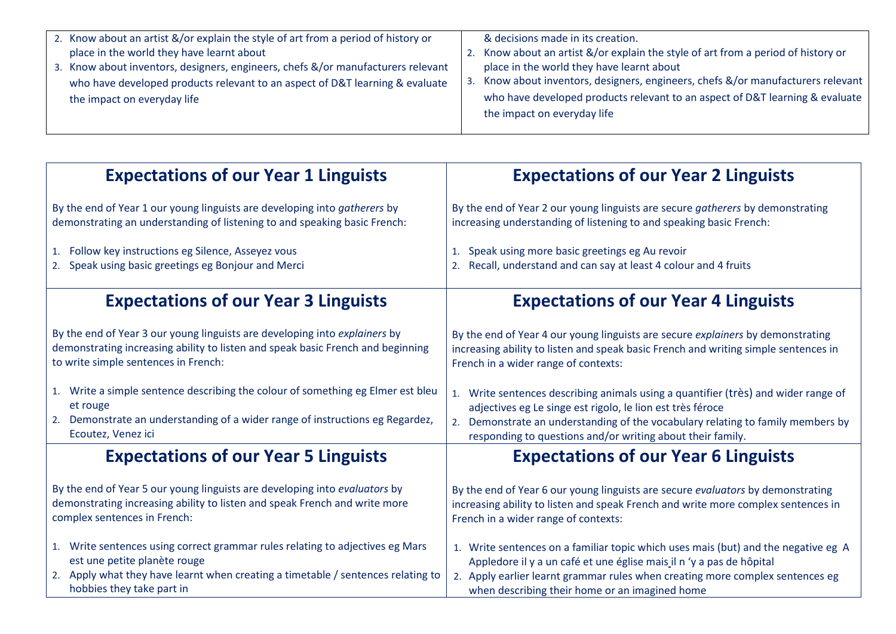| 2. Know about an artist &/or explain the style of art from a period of history or | & decisions made in its creation.                                              |
|-----------------------------------------------------------------------------------|--------------------------------------------------------------------------------|
| place in the world they have learnt about                                         | Know about an artist &/or explain the style of art from a period of history or |
| 3. Know about inventors, designers, engineers, chefs &/or manufacturers relevant  | place in the world they have learnt about                                      |
| who have developed products relevant to an aspect of D&T learning & evaluate      | Know about inventors, designers, engineers, chefs &/or manufacturers relevant  |
| the impact on everyday life                                                       | who have developed products relevant to an aspect of D&T learning & evaluate   |
|                                                                                   | the impact on everyday life                                                    |
|                                                                                   |                                                                                |

| <b>Expectations of our Year 1 Linguists</b>                                                                | <b>Expectations of our Year 2 Linguists</b>                                                                          |
|------------------------------------------------------------------------------------------------------------|----------------------------------------------------------------------------------------------------------------------|
| By the end of Year 1 our young linguists are developing into gatherers by                                  | By the end of Year 2 our young linguists are secure gatherers by demonstrating                                       |
| demonstrating an understanding of listening to and speaking basic French:                                  | increasing understanding of listening to and speaking basic French:                                                  |
| 1. Follow key instructions eg Silence, Asseyez vous<br>2. Speak using basic greetings eg Bonjour and Merci | Speak using more basic greetings eg Au revoir<br>1.<br>Recall, understand and can say at least 4 colour and 4 fruits |
| <b>Expectations of our Year 3 Linguists</b>                                                                | <b>Expectations of our Year 4 Linguists</b>                                                                          |
| By the end of Year 3 our young linguists are developing into explainers by                                 | By the end of Year 4 our young linguists are secure explainers by demonstrating                                      |
| demonstrating increasing ability to listen and speak basic French and beginning                            | increasing ability to listen and speak basic French and writing simple sentences in                                  |
| to write simple sentences in French:                                                                       | French in a wider range of contexts:                                                                                 |
| 1. Write a simple sentence describing the colour of something eg Elmer est bleu                            | 1. Write sentences describing animals using a quantifier (très) and wider range of                                   |
| et rouge                                                                                                   | adjectives eg Le singe est rigolo, le lion est très féroce                                                           |
| 2. Demonstrate an understanding of a wider range of instructions eg Regardez,                              | Demonstrate an understanding of the vocabulary relating to family members by                                         |
| Ecoutez, Venez ici                                                                                         | responding to questions and/or writing about their family.                                                           |
| <b>Expectations of our Year 5 Linguists</b>                                                                | <b>Expectations of our Year 6 Linguists</b>                                                                          |
| By the end of Year 5 our young linguists are developing into evaluators by                                 | By the end of Year 6 our young linguists are secure evaluators by demonstrating                                      |
| demonstrating increasing ability to listen and speak French and write more                                 | increasing ability to listen and speak French and write more complex sentences in                                    |
| complex sentences in French:                                                                               | French in a wider range of contexts:                                                                                 |
| 1. Write sentences using correct grammar rules relating to adjectives eg Mars                              | 1. Write sentences on a familiar topic which uses mais (but) and the negative eg A                                   |
| est une petite planète rouge                                                                               | Appledore il y a un café et une église mais il n 'y a pas de hôpital                                                 |
| 2. Apply what they have learnt when creating a timetable / sentences relating to                           | 2. Apply earlier learnt grammar rules when creating more complex sentences eg                                        |
| hobbies they take part in                                                                                  | when describing their home or an imagined home                                                                       |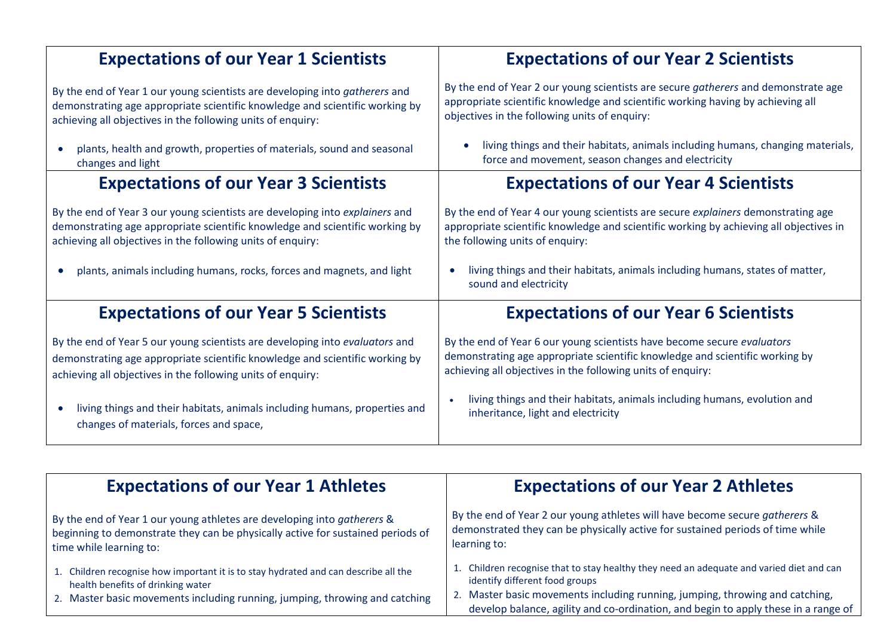| <b>Expectations of our Year 1 Scientists</b>                                                             | <b>Expectations of our Year 2 Scientists</b>                                                                                          |
|----------------------------------------------------------------------------------------------------------|---------------------------------------------------------------------------------------------------------------------------------------|
| By the end of Year 1 our young scientists are developing into gatherers and                              | By the end of Year 2 our young scientists are secure <i>gatherers</i> and demonstrate age                                             |
| demonstrating age appropriate scientific knowledge and scientific working by                             | appropriate scientific knowledge and scientific working having by achieving all                                                       |
| achieving all objectives in the following units of enquiry:                                              | objectives in the following units of enquiry:                                                                                         |
| plants, health and growth, properties of materials, sound and seasonal<br>$\bullet$<br>changes and light | living things and their habitats, animals including humans, changing materials,<br>force and movement, season changes and electricity |
| <b>Expectations of our Year 3 Scientists</b>                                                             | <b>Expectations of our Year 4 Scientists</b>                                                                                          |
| By the end of Year 3 our young scientists are developing into explainers and                             | By the end of Year 4 our young scientists are secure explainers demonstrating age                                                     |
| demonstrating age appropriate scientific knowledge and scientific working by                             | appropriate scientific knowledge and scientific working by achieving all objectives in                                                |
| achieving all objectives in the following units of enquiry:                                              | the following units of enquiry:                                                                                                       |
| plants, animals including humans, rocks, forces and magnets, and light                                   | living things and their habitats, animals including humans, states of matter,                                                         |
| $\bullet$                                                                                                | sound and electricity                                                                                                                 |
| <b>Expectations of our Year 5 Scientists</b>                                                             | <b>Expectations of our Year 6 Scientists</b>                                                                                          |
| By the end of Year 5 our young scientists are developing into evaluators and                             | By the end of Year 6 our young scientists have become secure evaluators                                                               |
| demonstrating age appropriate scientific knowledge and scientific working by                             | demonstrating age appropriate scientific knowledge and scientific working by                                                          |
| achieving all objectives in the following units of enquiry:                                              | achieving all objectives in the following units of enquiry:                                                                           |
| living things and their habitats, animals including humans, properties and                               | living things and their habitats, animals including humans, evolution and                                                             |
| changes of materials, forces and space,                                                                  | inheritance, light and electricity                                                                                                    |

| <b>Expectations of our Year 1 Athletes</b>                                                                                                                                                              | <b>Expectations of our Year 2 Athletes</b>                                                                                                                                                                                                                                                       |
|---------------------------------------------------------------------------------------------------------------------------------------------------------------------------------------------------------|--------------------------------------------------------------------------------------------------------------------------------------------------------------------------------------------------------------------------------------------------------------------------------------------------|
| By the end of Year 1 our young athletes are developing into gatherers &<br>beginning to demonstrate they can be physically active for sustained periods of<br>time while learning to:                   | By the end of Year 2 our young athletes will have become secure gatherers &<br>demonstrated they can be physically active for sustained periods of time while<br>learning to:                                                                                                                    |
| 1. Children recognise how important it is to stay hydrated and can describe all the<br>health benefits of drinking water<br>2. Master basic movements including running, jumping, throwing and catching | 1. Children recognise that to stay healthy they need an adequate and varied diet and can<br>identify different food groups<br>2. Master basic movements including running, jumping, throwing and catching,<br>develop balance, agility and co-ordination, and begin to apply these in a range of |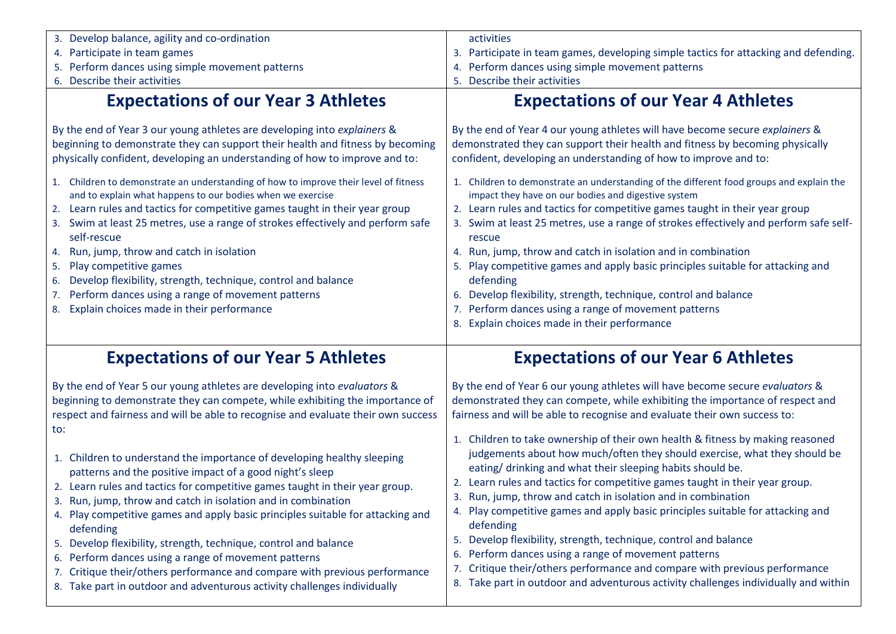| 3. Develop balance, agility and co-ordination                                                                                                                                                                                                                                                                                                                                                                                                                                                                                                                                                                                                                                                                                                                                                                                               | activities                                                                                                                                                                                                                                                                                                                                                                                                                                                                                                                                                                                                                                                                                                                                                                                                                                                |
|---------------------------------------------------------------------------------------------------------------------------------------------------------------------------------------------------------------------------------------------------------------------------------------------------------------------------------------------------------------------------------------------------------------------------------------------------------------------------------------------------------------------------------------------------------------------------------------------------------------------------------------------------------------------------------------------------------------------------------------------------------------------------------------------------------------------------------------------|-----------------------------------------------------------------------------------------------------------------------------------------------------------------------------------------------------------------------------------------------------------------------------------------------------------------------------------------------------------------------------------------------------------------------------------------------------------------------------------------------------------------------------------------------------------------------------------------------------------------------------------------------------------------------------------------------------------------------------------------------------------------------------------------------------------------------------------------------------------|
| 4. Participate in team games                                                                                                                                                                                                                                                                                                                                                                                                                                                                                                                                                                                                                                                                                                                                                                                                                | 3. Participate in team games, developing simple tactics for attacking and defending.                                                                                                                                                                                                                                                                                                                                                                                                                                                                                                                                                                                                                                                                                                                                                                      |
| 5. Perform dances using simple movement patterns                                                                                                                                                                                                                                                                                                                                                                                                                                                                                                                                                                                                                                                                                                                                                                                            | 4. Perform dances using simple movement patterns                                                                                                                                                                                                                                                                                                                                                                                                                                                                                                                                                                                                                                                                                                                                                                                                          |
| 6. Describe their activities                                                                                                                                                                                                                                                                                                                                                                                                                                                                                                                                                                                                                                                                                                                                                                                                                | 5. Describe their activities                                                                                                                                                                                                                                                                                                                                                                                                                                                                                                                                                                                                                                                                                                                                                                                                                              |
| <b>Expectations of our Year 3 Athletes</b><br>By the end of Year 3 our young athletes are developing into explainers &<br>beginning to demonstrate they can support their health and fitness by becoming<br>physically confident, developing an understanding of how to improve and to:<br>1. Children to demonstrate an understanding of how to improve their level of fitness<br>and to explain what happens to our bodies when we exercise<br>2. Learn rules and tactics for competitive games taught in their year group<br>3. Swim at least 25 metres, use a range of strokes effectively and perform safe<br>self-rescue<br>4. Run, jump, throw and catch in isolation<br>Play competitive games<br>5.<br>6. Develop flexibility, strength, technique, control and balance<br>Perform dances using a range of movement patterns<br>7. | <b>Expectations of our Year 4 Athletes</b><br>By the end of Year 4 our young athletes will have become secure explainers &<br>demonstrated they can support their health and fitness by becoming physically<br>confident, developing an understanding of how to improve and to:<br>1. Children to demonstrate an understanding of the different food groups and explain the<br>impact they have on our bodies and digestive system<br>2. Learn rules and tactics for competitive games taught in their year group<br>3. Swim at least 25 metres, use a range of strokes effectively and perform safe self-<br>rescue<br>4. Run, jump, throw and catch in isolation and in combination<br>5. Play competitive games and apply basic principles suitable for attacking and<br>defending<br>6. Develop flexibility, strength, technique, control and balance |
| Explain choices made in their performance                                                                                                                                                                                                                                                                                                                                                                                                                                                                                                                                                                                                                                                                                                                                                                                                   | 7. Perform dances using a range of movement patterns                                                                                                                                                                                                                                                                                                                                                                                                                                                                                                                                                                                                                                                                                                                                                                                                      |
| 8.                                                                                                                                                                                                                                                                                                                                                                                                                                                                                                                                                                                                                                                                                                                                                                                                                                          | 8. Explain choices made in their performance                                                                                                                                                                                                                                                                                                                                                                                                                                                                                                                                                                                                                                                                                                                                                                                                              |
| <b>Expectations of our Year 5 Athletes</b>                                                                                                                                                                                                                                                                                                                                                                                                                                                                                                                                                                                                                                                                                                                                                                                                  | <b>Expectations of our Year 6 Athletes</b>                                                                                                                                                                                                                                                                                                                                                                                                                                                                                                                                                                                                                                                                                                                                                                                                                |
| By the end of Year 5 our young athletes are developing into evaluators &                                                                                                                                                                                                                                                                                                                                                                                                                                                                                                                                                                                                                                                                                                                                                                    | By the end of Year 6 our young athletes will have become secure evaluators &                                                                                                                                                                                                                                                                                                                                                                                                                                                                                                                                                                                                                                                                                                                                                                              |
| beginning to demonstrate they can compete, while exhibiting the importance of                                                                                                                                                                                                                                                                                                                                                                                                                                                                                                                                                                                                                                                                                                                                                               | demonstrated they can compete, while exhibiting the importance of respect and                                                                                                                                                                                                                                                                                                                                                                                                                                                                                                                                                                                                                                                                                                                                                                             |
| respect and fairness and will be able to recognise and evaluate their own success                                                                                                                                                                                                                                                                                                                                                                                                                                                                                                                                                                                                                                                                                                                                                           | fairness and will be able to recognise and evaluate their own success to:                                                                                                                                                                                                                                                                                                                                                                                                                                                                                                                                                                                                                                                                                                                                                                                 |
| to:                                                                                                                                                                                                                                                                                                                                                                                                                                                                                                                                                                                                                                                                                                                                                                                                                                         | 1. Children to take ownership of their own health & fitness by making reasoned                                                                                                                                                                                                                                                                                                                                                                                                                                                                                                                                                                                                                                                                                                                                                                            |
| 1. Children to understand the importance of developing healthy sleeping                                                                                                                                                                                                                                                                                                                                                                                                                                                                                                                                                                                                                                                                                                                                                                     | judgements about how much/often they should exercise, what they should be                                                                                                                                                                                                                                                                                                                                                                                                                                                                                                                                                                                                                                                                                                                                                                                 |
| patterns and the positive impact of a good night's sleep                                                                                                                                                                                                                                                                                                                                                                                                                                                                                                                                                                                                                                                                                                                                                                                    | eating/ drinking and what their sleeping habits should be.                                                                                                                                                                                                                                                                                                                                                                                                                                                                                                                                                                                                                                                                                                                                                                                                |
| 2. Learn rules and tactics for competitive games taught in their year group.                                                                                                                                                                                                                                                                                                                                                                                                                                                                                                                                                                                                                                                                                                                                                                | 2. Learn rules and tactics for competitive games taught in their year group.                                                                                                                                                                                                                                                                                                                                                                                                                                                                                                                                                                                                                                                                                                                                                                              |
| 3. Run, jump, throw and catch in isolation and in combination                                                                                                                                                                                                                                                                                                                                                                                                                                                                                                                                                                                                                                                                                                                                                                               | 3. Run, jump, throw and catch in isolation and in combination                                                                                                                                                                                                                                                                                                                                                                                                                                                                                                                                                                                                                                                                                                                                                                                             |
| 4. Play competitive games and apply basic principles suitable for attacking and                                                                                                                                                                                                                                                                                                                                                                                                                                                                                                                                                                                                                                                                                                                                                             | 4. Play competitive games and apply basic principles suitable for attacking and                                                                                                                                                                                                                                                                                                                                                                                                                                                                                                                                                                                                                                                                                                                                                                           |
| defending                                                                                                                                                                                                                                                                                                                                                                                                                                                                                                                                                                                                                                                                                                                                                                                                                                   | defending                                                                                                                                                                                                                                                                                                                                                                                                                                                                                                                                                                                                                                                                                                                                                                                                                                                 |
| 5. Develop flexibility, strength, technique, control and balance                                                                                                                                                                                                                                                                                                                                                                                                                                                                                                                                                                                                                                                                                                                                                                            | 5. Develop flexibility, strength, technique, control and balance                                                                                                                                                                                                                                                                                                                                                                                                                                                                                                                                                                                                                                                                                                                                                                                          |
| 6. Perform dances using a range of movement patterns                                                                                                                                                                                                                                                                                                                                                                                                                                                                                                                                                                                                                                                                                                                                                                                        | 6. Perform dances using a range of movement patterns                                                                                                                                                                                                                                                                                                                                                                                                                                                                                                                                                                                                                                                                                                                                                                                                      |
| 7. Critique their/others performance and compare with previous performance                                                                                                                                                                                                                                                                                                                                                                                                                                                                                                                                                                                                                                                                                                                                                                  | 7. Critique their/others performance and compare with previous performance                                                                                                                                                                                                                                                                                                                                                                                                                                                                                                                                                                                                                                                                                                                                                                                |
| 8. Take part in outdoor and adventurous activity challenges individually                                                                                                                                                                                                                                                                                                                                                                                                                                                                                                                                                                                                                                                                                                                                                                    | 8. Take part in outdoor and adventurous activity challenges individually and within                                                                                                                                                                                                                                                                                                                                                                                                                                                                                                                                                                                                                                                                                                                                                                       |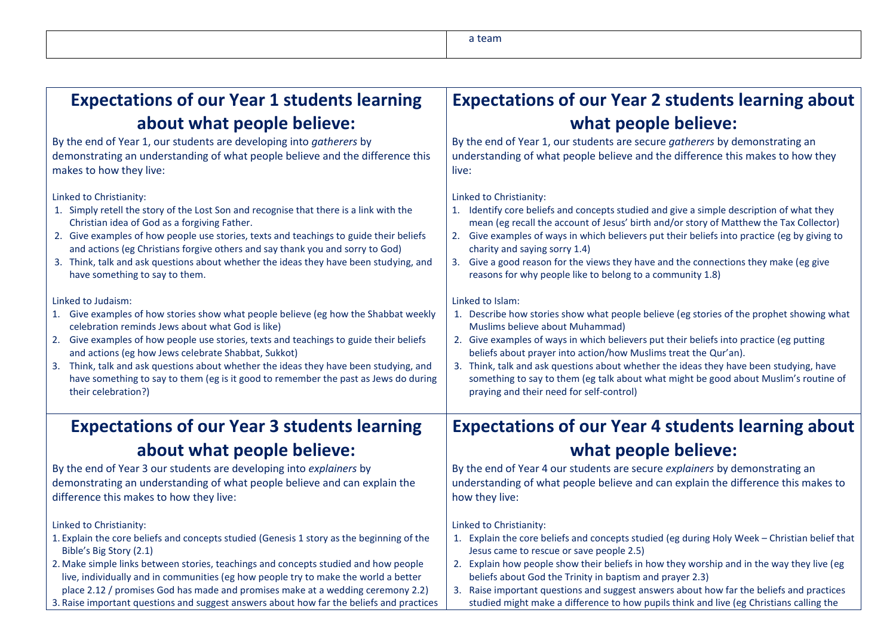**Expectations of our Year 1 students learning about what people believe:** 

By the end of Year 1, our students are developing into *gatherers* by demonstrating an understanding of what people believe and the difference this makes to how they live:

Linked to Christianity:

- 1. Simply retell the story of the Lost Son and recognise that there is a link with the Christian idea of God as a forgiving Father.
- 2. Give examples of how people use stories, texts and teachings to guide their beliefs and actions (eg Christians forgive others and say thank you and sorry to God)
- 3. Think, talk and ask questions about whether the ideas they have been studying, and have something to say to them.

Linked to Judaism:

- 1. Give examples of how stories show what people believe (eg how the Shabbat weekly celebration reminds Jews about what God is like)
- 2. Give examples of how people use stories, texts and teachings to guide their beliefs and actions (eg how Jews celebrate Shabbat, Sukkot)
- 3. Think, talk and ask questions about whether the ideas they have been studying, and have something to say to them (eg is it good to remember the past as Jews do during their celebration?)

## **Expectations of our Year 3 students learning about what people believe:**

By the end of Year 3 our students are developing into *explainers* by demonstrating an understanding of what people believe and can explain the difference this makes to how they live:

Linked to Christianity:

- 1. Explain the core beliefs and concepts studied (Genesis 1 story as the beginning of the Bible's Big Story (2.1)
- 2. Make simple links between stories, teachings and concepts studied and how people live, individually and in communities (eg how people try to make the world a better place 2.12 / promises God has made and promises make at a wedding ceremony 2.2)
- 3. Raise important questions and suggest answers about how far the beliefs and practices

## **Expectations of our Year 2 students learning about what people believe:**

By the end of Year 1, our students are secure *gatherers* by demonstrating an understanding of what people believe and the difference this makes to how they live:

Linked to Christianity:

- 1. Identify core beliefs and concepts studied and give a simple description of what they mean (eg recall the account of Jesus' birth and/or story of Matthew the Tax Collector)
- 2. Give examples of ways in which believers put their beliefs into practice (eg by giving to charity and saying sorry 1.4)
- 3. Give a good reason for the views they have and the connections they make (eg give reasons for why people like to belong to a community 1.8)

## Linked to Islam:

- 1. Describe how stories show what people believe (eg stories of the prophet showing what Muslims believe about Muhammad)
- 2. Give examples of ways in which believers put their beliefs into practice (eg putting beliefs about prayer into action/how Muslims treat the Qur'an).
- 3. Think, talk and ask questions about whether the ideas they have been studying, have something to say to them (eg talk about what might be good about Muslim's routine of praying and their need for self-control)

## **Expectations of our Year 4 students learning about what people believe:**

By the end of Year 4 our students are secure *explainers* by demonstrating an understanding of what people believe and can explain the difference this makes to how they live:

Linked to Christianity:

- 1. Explain the core beliefs and concepts studied (eg during Holy Week Christian belief that Jesus came to rescue or save people 2.5)
- 2. Explain how people show their beliefs in how they worship and in the way they live (eg beliefs about God the Trinity in baptism and prayer 2.3)
- 3. Raise important questions and suggest answers about how far the beliefs and practices studied might make a difference to how pupils think and live (eg Christians calling the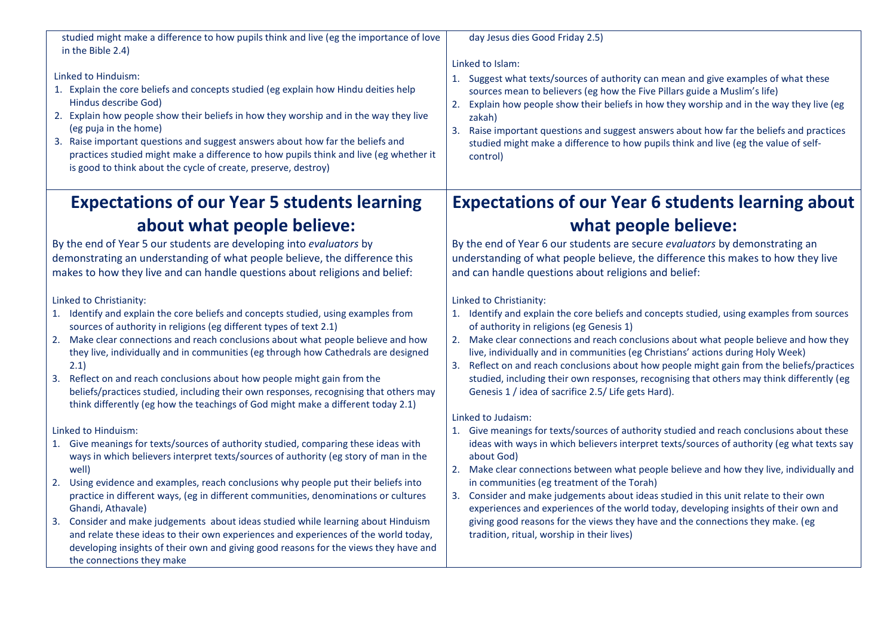| studied might make a difference to how pupils think and live (eg the importance of love<br>in the Bible 2.4)<br>Linked to Hinduism:<br>1. Explain the core beliefs and concepts studied (eg explain how Hindu deities help<br>Hindus describe God)<br>2. Explain how people show their beliefs in how they worship and in the way they live<br>(eg puja in the home)<br>3. Raise important questions and suggest answers about how far the beliefs and<br>practices studied might make a difference to how pupils think and live (eg whether it<br>is good to think about the cycle of create, preserve, destroy)                                                                                                                                                                                                                                                                                 | day Jesus dies Good Friday 2.5)<br>Linked to Islam:<br>1. Suggest what texts/sources of authority can mean and give examples of what these<br>sources mean to believers (eg how the Five Pillars guide a Muslim's life)<br>Explain how people show their beliefs in how they worship and in the way they live (eg<br>2.<br>zakah)<br>3.<br>Raise important questions and suggest answers about how far the beliefs and practices<br>studied might make a difference to how pupils think and live (eg the value of self-<br>control)                                                                                                                                                                                                                                                                                                                                          |
|---------------------------------------------------------------------------------------------------------------------------------------------------------------------------------------------------------------------------------------------------------------------------------------------------------------------------------------------------------------------------------------------------------------------------------------------------------------------------------------------------------------------------------------------------------------------------------------------------------------------------------------------------------------------------------------------------------------------------------------------------------------------------------------------------------------------------------------------------------------------------------------------------|------------------------------------------------------------------------------------------------------------------------------------------------------------------------------------------------------------------------------------------------------------------------------------------------------------------------------------------------------------------------------------------------------------------------------------------------------------------------------------------------------------------------------------------------------------------------------------------------------------------------------------------------------------------------------------------------------------------------------------------------------------------------------------------------------------------------------------------------------------------------------|
| <b>Expectations of our Year 5 students learning</b>                                                                                                                                                                                                                                                                                                                                                                                                                                                                                                                                                                                                                                                                                                                                                                                                                                               | <b>Expectations of our Year 6 students learning about</b>                                                                                                                                                                                                                                                                                                                                                                                                                                                                                                                                                                                                                                                                                                                                                                                                                    |
| about what people believe:<br>By the end of Year 5 our students are developing into evaluators by<br>demonstrating an understanding of what people believe, the difference this<br>makes to how they live and can handle questions about religions and belief:<br>Linked to Christianity:<br>1. Identify and explain the core beliefs and concepts studied, using examples from<br>sources of authority in religions (eg different types of text 2.1)<br>2. Make clear connections and reach conclusions about what people believe and how<br>they live, individually and in communities (eg through how Cathedrals are designed<br>2.1)<br>3. Reflect on and reach conclusions about how people might gain from the<br>beliefs/practices studied, including their own responses, recognising that others may<br>think differently (eg how the teachings of God might make a different today 2.1) | what people believe:<br>By the end of Year 6 our students are secure evaluators by demonstrating an<br>understanding of what people believe, the difference this makes to how they live<br>and can handle questions about religions and belief:<br>Linked to Christianity:<br>1. Identify and explain the core beliefs and concepts studied, using examples from sources<br>of authority in religions (eg Genesis 1)<br>2. Make clear connections and reach conclusions about what people believe and how they<br>live, individually and in communities (eg Christians' actions during Holy Week)<br>3.<br>Reflect on and reach conclusions about how people might gain from the beliefs/practices<br>studied, including their own responses, recognising that others may think differently (eg<br>Genesis 1 / idea of sacrifice 2.5/ Life gets Hard).<br>Linked to Judaism: |
| Linked to Hinduism:<br>1. Give meanings for texts/sources of authority studied, comparing these ideas with<br>ways in which believers interpret texts/sources of authority (eg story of man in the<br>well)<br>2. Using evidence and examples, reach conclusions why people put their beliefs into<br>practice in different ways, (eg in different communities, denominations or cultures<br>Ghandi, Athavale)<br>3. Consider and make judgements about ideas studied while learning about Hinduism<br>and relate these ideas to their own experiences and experiences of the world today,<br>developing insights of their own and giving good reasons for the views they have and<br>the connections they make                                                                                                                                                                                   | 1. Give meanings for texts/sources of authority studied and reach conclusions about these<br>ideas with ways in which believers interpret texts/sources of authority (eg what texts say<br>about God)<br>2. Make clear connections between what people believe and how they live, individually and<br>in communities (eg treatment of the Torah)<br>Consider and make judgements about ideas studied in this unit relate to their own<br>3.<br>experiences and experiences of the world today, developing insights of their own and<br>giving good reasons for the views they have and the connections they make. (eg<br>tradition, ritual, worship in their lives)                                                                                                                                                                                                          |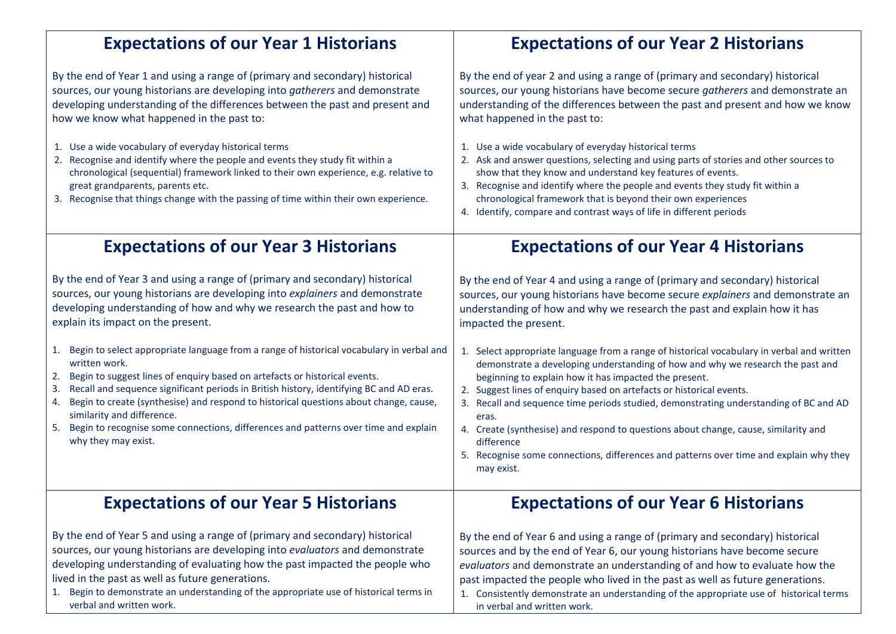| <b>Expectations of our Year 1 Historians</b>                                                                                                                                                                                                                                                                                                                                                                                                                                                                                                                                       | <b>Expectations of our Year 2 Historians</b>                                                                                                                                                                                                                                                                                                                                                                                                                                                                                                                                         |
|------------------------------------------------------------------------------------------------------------------------------------------------------------------------------------------------------------------------------------------------------------------------------------------------------------------------------------------------------------------------------------------------------------------------------------------------------------------------------------------------------------------------------------------------------------------------------------|--------------------------------------------------------------------------------------------------------------------------------------------------------------------------------------------------------------------------------------------------------------------------------------------------------------------------------------------------------------------------------------------------------------------------------------------------------------------------------------------------------------------------------------------------------------------------------------|
| By the end of Year 1 and using a range of (primary and secondary) historical<br>sources, our young historians are developing into gatherers and demonstrate<br>developing understanding of the differences between the past and present and<br>how we know what happened in the past to:                                                                                                                                                                                                                                                                                           | By the end of year 2 and using a range of (primary and secondary) historical<br>sources, our young historians have become secure gatherers and demonstrate an<br>understanding of the differences between the past and present and how we know<br>what happened in the past to:                                                                                                                                                                                                                                                                                                      |
| 1. Use a wide vocabulary of everyday historical terms<br>2. Recognise and identify where the people and events they study fit within a<br>chronological (sequential) framework linked to their own experience, e.g. relative to<br>great grandparents, parents etc.<br>3. Recognise that things change with the passing of time within their own experience.                                                                                                                                                                                                                       | 1. Use a wide vocabulary of everyday historical terms<br>2. Ask and answer questions, selecting and using parts of stories and other sources to<br>show that they know and understand key features of events.<br>3. Recognise and identify where the people and events they study fit within a<br>chronological framework that is beyond their own experiences<br>4. Identify, compare and contrast ways of life in different periods                                                                                                                                                |
| <b>Expectations of our Year 3 Historians</b>                                                                                                                                                                                                                                                                                                                                                                                                                                                                                                                                       | <b>Expectations of our Year 4 Historians</b>                                                                                                                                                                                                                                                                                                                                                                                                                                                                                                                                         |
| By the end of Year 3 and using a range of (primary and secondary) historical<br>sources, our young historians are developing into explainers and demonstrate<br>developing understanding of how and why we research the past and how to<br>explain its impact on the present.<br>1. Begin to select appropriate language from a range of historical vocabulary in verbal and<br>written work.<br>Begin to suggest lines of enquiry based on artefacts or historical events.<br>2.<br>Recall and sequence significant periods in British history, identifying BC and AD eras.<br>3. | By the end of Year 4 and using a range of (primary and secondary) historical<br>sources, our young historians have become secure explainers and demonstrate an<br>understanding of how and why we research the past and explain how it has<br>impacted the present.<br>1. Select appropriate language from a range of historical vocabulary in verbal and written<br>demonstrate a developing understanding of how and why we research the past and<br>beginning to explain how it has impacted the present.<br>2. Suggest lines of enquiry based on artefacts or historical events. |
| Begin to create (synthesise) and respond to historical questions about change, cause,<br>4.<br>similarity and difference.<br>5. Begin to recognise some connections, differences and patterns over time and explain<br>why they may exist.                                                                                                                                                                                                                                                                                                                                         | 3. Recall and sequence time periods studied, demonstrating understanding of BC and AD<br>eras.<br>4. Create (synthesise) and respond to questions about change, cause, similarity and<br>difference<br>5. Recognise some connections, differences and patterns over time and explain why they<br>may exist.                                                                                                                                                                                                                                                                          |
| <b>Expectations of our Year 5 Historians</b>                                                                                                                                                                                                                                                                                                                                                                                                                                                                                                                                       | <b>Expectations of our Year 6 Historians</b>                                                                                                                                                                                                                                                                                                                                                                                                                                                                                                                                         |
| By the end of Year 5 and using a range of (primary and secondary) historical<br>sources, our young historians are developing into evaluators and demonstrate<br>developing understanding of evaluating how the past impacted the people who<br>lived in the past as well as future generations.<br>1. Begin to demonstrate an understanding of the appropriate use of historical terms in<br>verbal and written work.                                                                                                                                                              | By the end of Year 6 and using a range of (primary and secondary) historical<br>sources and by the end of Year 6, our young historians have become secure<br>evaluators and demonstrate an understanding of and how to evaluate how the<br>past impacted the people who lived in the past as well as future generations.<br>1. Consistently demonstrate an understanding of the appropriate use of historical terms<br>in verbal and written work.                                                                                                                                   |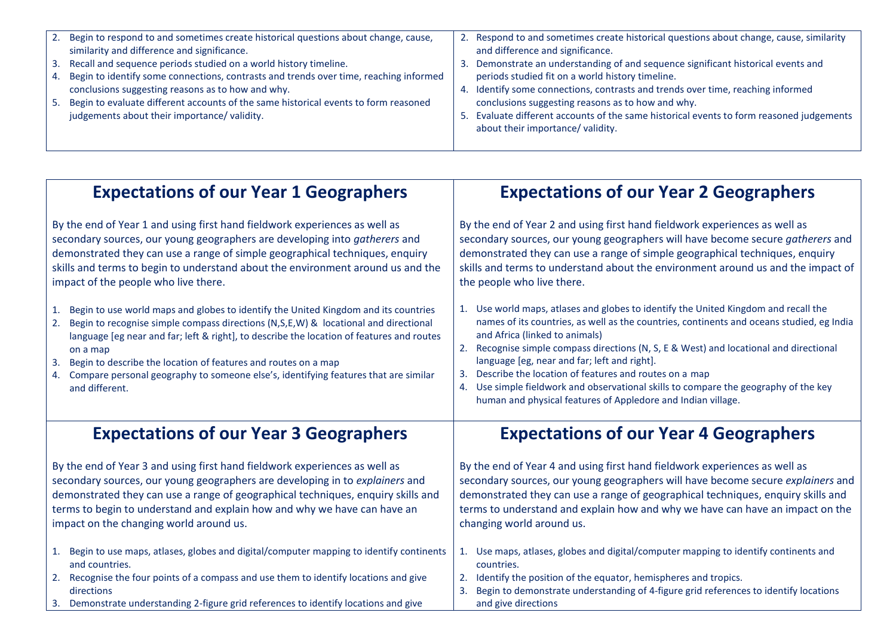| 2. Begin to respond to and sometimes create historical questions about change, cause,<br>similarity and difference and significance.<br>3. Recall and sequence periods studied on a world history timeline.<br>4. Begin to identify some connections, contrasts and trends over time, reaching informed<br>conclusions suggesting reasons as to how and why.<br>5. Begin to evaluate different accounts of the same historical events to form reasoned | 2. Respond to and sometimes create historical questions about change, cause, similarity<br>and difference and significance.<br>Demonstrate an understanding of and sequence significant historical events and<br>periods studied fit on a world history timeline.<br>Identify some connections, contrasts and trends over time, reaching informed<br>conclusions suggesting reasons as to how and why. |
|--------------------------------------------------------------------------------------------------------------------------------------------------------------------------------------------------------------------------------------------------------------------------------------------------------------------------------------------------------------------------------------------------------------------------------------------------------|--------------------------------------------------------------------------------------------------------------------------------------------------------------------------------------------------------------------------------------------------------------------------------------------------------------------------------------------------------------------------------------------------------|
| judgements about their importance/validity.                                                                                                                                                                                                                                                                                                                                                                                                            | 5. Evaluate different accounts of the same historical events to form reasoned judgements<br>about their importance/ validity.                                                                                                                                                                                                                                                                          |

| <b>Expectations of our Year 1 Geographers</b>                                                                                                                                                                                                                                                                                                                                                                                                                                 | <b>Expectations of our Year 2 Geographers</b>                                                                                                                                                                                                                                                                                                                                                                                                                                                                                                                                             |
|-------------------------------------------------------------------------------------------------------------------------------------------------------------------------------------------------------------------------------------------------------------------------------------------------------------------------------------------------------------------------------------------------------------------------------------------------------------------------------|-------------------------------------------------------------------------------------------------------------------------------------------------------------------------------------------------------------------------------------------------------------------------------------------------------------------------------------------------------------------------------------------------------------------------------------------------------------------------------------------------------------------------------------------------------------------------------------------|
| By the end of Year 1 and using first hand fieldwork experiences as well as<br>secondary sources, our young geographers are developing into gatherers and<br>demonstrated they can use a range of simple geographical techniques, enquiry<br>skills and terms to begin to understand about the environment around us and the<br>impact of the people who live there.                                                                                                           | By the end of Year 2 and using first hand fieldwork experiences as well as<br>secondary sources, our young geographers will have become secure gatherers and<br>demonstrated they can use a range of simple geographical techniques, enquiry<br>skills and terms to understand about the environment around us and the impact of<br>the people who live there.                                                                                                                                                                                                                            |
| 1. Begin to use world maps and globes to identify the United Kingdom and its countries<br>Begin to recognise simple compass directions (N,S,E,W) & locational and directional<br>2.<br>language [eg near and far; left & right], to describe the location of features and routes<br>on a map<br>3. Begin to describe the location of features and routes on a map<br>4. Compare personal geography to someone else's, identifying features that are similar<br>and different. | 1. Use world maps, atlases and globes to identify the United Kingdom and recall the<br>names of its countries, as well as the countries, continents and oceans studied, eg India<br>and Africa (linked to animals)<br>Recognise simple compass directions (N, S, E & West) and locational and directional<br>2.<br>language [eg, near and far; left and right].<br>Describe the location of features and routes on a map<br>3.<br>Use simple fieldwork and observational skills to compare the geography of the key<br>4.<br>human and physical features of Appledore and Indian village. |
| <b>Expectations of our Year 3 Geographers</b>                                                                                                                                                                                                                                                                                                                                                                                                                                 | <b>Expectations of our Year 4 Geographers</b>                                                                                                                                                                                                                                                                                                                                                                                                                                                                                                                                             |
| By the end of Year 3 and using first hand fieldwork experiences as well as<br>secondary sources, our young geographers are developing in to explainers and<br>demonstrated they can use a range of geographical techniques, enquiry skills and<br>terms to begin to understand and explain how and why we have can have an<br>impact on the changing world around us.                                                                                                         | By the end of Year 4 and using first hand fieldwork experiences as well as<br>secondary sources, our young geographers will have become secure explainers and<br>demonstrated they can use a range of geographical techniques, enquiry skills and<br>terms to understand and explain how and why we have can have an impact on the<br>changing world around us.                                                                                                                                                                                                                           |
| 1. Begin to use maps, atlases, globes and digital/computer mapping to identify continents<br>and countries.<br>2. Recognise the four points of a compass and use them to identify locations and give<br>directions<br>3. Demonstrate understanding 2-figure grid references to identify locations and give                                                                                                                                                                    | Use maps, atlases, globes and digital/computer mapping to identify continents and<br>countries.<br>Identify the position of the equator, hemispheres and tropics.<br>2.<br>Begin to demonstrate understanding of 4-figure grid references to identify locations<br>3.<br>and give directions                                                                                                                                                                                                                                                                                              |